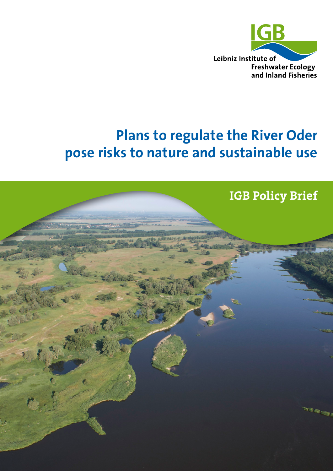

# **Plans to regulate the River Oder pose risks to nature and sustainable use**

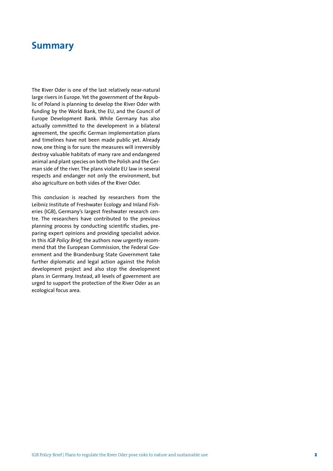### **Summary**

The River Oder is one of the last relatively near-natural large rivers in Europe. Yet the government of the Republic of Poland is planning to develop the River Oder with funding by the World Bank, the EU, and the Council of Europe Development Bank. While Germany has also actually committed to the development in a bilateral agreement, the specific German implementation plans and timelines have not been made public yet. Already now, one thing is for sure: the measures will irreversibly destroy valuable habitats of many rare and endangered animal and plant species on both the Polish and the German side of the river. The plans violate EU law in several respects and endanger not only the environment, but also agriculture on both sides of the River Oder.

This conclusion is reached by researchers from the Leibniz Institute of Freshwater Ecology and Inland Fisheries (IGB), Germany's largest freshwater research centre. The researchers have contributed to the previous planning process by conducting scientific studies, preparing expert opinions and providing specialist advice. In this *IGB Policy Brief,* the authors now urgently recommend that the European Commission, the Federal Government and the Brandenburg State Government take further diplomatic and legal action against the Polish development project and also stop the development plans in Germany. Instead, all levels of government are urged to support the protection of the River Oder as an ecological focus area.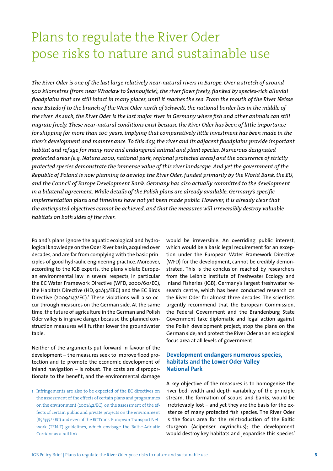## Plans to regulate the River Oder pose risks to nature and sustainable use

*The River Oder is one of the last large relatively near-natural rivers in Europe. Over a stretch of around 500 kilometres (from near Wrocäaw to Swinoujscie), the river flows freely, flanked by species-rich alluvial floodplains that are still intact in many places, until it reaches the sea. From the mouth of the River Neisse near Ratzdorf to the branch of the West Oder north of Schwedt, the national border lies in the middle of the river. As such, the River Oder is the last major river in Germany where fish and other animals can still migrate freely. These near-natural conditions exist because the River Oder has been of little importance for shipping for more than 100 years, implying that comparatively little investment has been made in the river's development and maintenance. To this day, the river and its adjacent floodplains provide important habitat and refuge for many rare and endangered animal and plant species. Numerous designated protected areas (e.g. Natura 2000, national park, regional protected areas) and the occurrence of strictly protected species demonstrate the immense value of this river landscape. And yet the government of the Republic of Poland is now planning to develop the River Oder, funded primarily by the World Bank, the EU, and the Council of Europe Development Bank. Germany has also actually committed to the development in a bilateral agreement. While details of the Polish plans are already available, Germany's specific implementation plans and timelines have not yet been made public. However, it is already clear that the anticipated objectives cannot be achieved, and that the measures will irreversibly destroy valuable habitats on both sides of the river.*

Poland's plans ignore the aquatic ecological and hydrological knowledge on the Oder River basin, acquired over decades, and are far from complying with the basic principles of good hydraulic engineering practice. Moreover, according to the IGB experts, the plans violate European environmental law in several respects, in particular the EC Water Framework Directive (WFD, 2000/60/EC), the Habitats Directive (HD, 92/43/EEC) and the EC Birds Directive (2009/147/EC).<sup>1</sup> These violations will also occur through measures on the German side. At the same time, the future of agriculture in the German and Polish Oder valley is in grave danger because the planned construction measures will further lower the groundwater table.

Neither of the arguments put forward in favour of the development – the measures seek to improve flood protection and to promote the economic development of inland navigation  $-$  is robust. The costs are disproportionate to the benefit, and the environmental damage would be irreversible. An overriding public interest, which would be a basic legal requirement for an exception under the European Water Framework Directive (WFD) for the development, cannot be credibly demonstrated. This is the conclusion reached by researchers from the Leibniz Institute of Freshwater Ecology and Inland Fisheries (IGB), Germany's largest freshwater research centre, which has been conducted research on the River Oder for almost three decades. The scientists urgently recommend that the European Commission, the Federal Government and the Brandenburg State Government take diplomatic and legal action against the Polish development project; stop the plans on the German side; and protect the River Oder as an ecological focus area at all levels of government.

#### **Development endangers numerous species, habitats and the Lower Oder Valley National Park**

A key objective of the measures is to homogenise the river bed: width and depth variability of the principle stream, the formation of scours and banks, would be irretrievably lost – and yet they are the basis for the existence of many protected fish species. The River Oder is the focus area for the reintroduction of the Baltic sturgeon (Acipenser oxyrinchus); the development would destroy key habitats and jeopardise this species'

<sup>1</sup> Infringements are also to be expected of the EC directives on the assessment of the effects of certain plans and programmes on the environment (2001/42/EC), on the assessment of the effects of certain public and private projects on the environment (85/337/EEC) and even of the EC Trans-European Transport Network (TEN-T) guidelines, which envisage the Baltic-Adriatic Corridor as a rail link.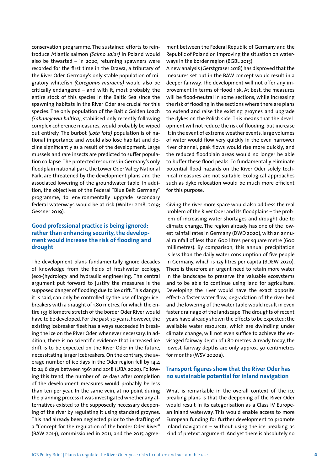conservation programme. The sustained efforts to reintroduce Atlantic salmon *(Salmo salar)* in Poland would also be thwarted – in 2020, returning spawners were recorded for the first time in the Drawa, a tributary of the River Oder. Germany's only stable population of migratory whitefish *(Coregonus maraena)* would also be critically endangered – and with it, most probably, the entire stock of this species in the Baltic Sea since the spawning habitats in the River Oder are crucial for this species. The only population of the Baltic Golden Loach *(Sabanejewia baltica)*, stabilised only recently following complex coherence measures, would probably be wiped out entirely. The burbot *(Lota lota)* population is of national importance and would also lose habitat and decline significantly as a result of the development. Large mussels and rare insects are predicted to suffer population collapse. The protected resources in Germany's only floodplain national park, the Lower Oder Valley National Park, are threatened by the development plans and the associated lowering of the groundwater table. In addition, the objectives of the Federal "Blue Belt Germany" programme, to environmentally upgrade secondary federal waterways would be at risk (Wolter 2018, 2019; Gessner 2019).

#### **Good professional practice is being ignored: rather than enhancing security, the development would increase the risk of flooding and drought**

The development plans fundamentally ignore decades of knowledge from the fields of freshwater ecology, (eco-)hydrology and hydraulic engineering. The central argument put forward to justify the measures is the supposed danger of flooding due to ice drift. This danger, it is said, can only be controlled by the use of larger icebreakers with a draught of 1.80 metres, for which the entire 153 kilometre stretch of the border Oder River would have to be developed. For the past 70 years, however, the existing icebreaker fleet has always succeeded in breaking the ice on the River Oder, whenever necessary. In addition, there is no scientific evidence that increased ice drift is to be expected on the River Oder in the future, necessitating larger icebreakers. On the contrary, the average number of ice days in the Oder region fell by 14.4 to 24.6 days between 1961 and 2018 (UBA 2020). Following this trend, the number of ice days after completion of the development measures would probably be less than ten per year. In the same vein, at no point during the planning process it was investigated whether any alternatives existed to the supposedly necessary deepening of the river by regulating it using standard groynes. This had already been neglected prior to the drafting of a "Concept for the regulation of the border Oder River" (BAW 2014), commissioned in 2011, and the 2015 agreement between the Federal Republic of Germany and the Republic of Poland on improving the situation on waterways in the border region (BGBL 2015).

A new analysis (Gerstgraser 2018) has disproved that the measures set out in the BAW concept would result in a deeper fairway. The development will not offer any improvement in terms of flood risk. At best, the measures will be flood-neutral in some sections, while increasing the risk of flooding in the sections where there are plans to extend and raise the existing groynes and upgrade the dykes on the Polish side. This means that the development will not reduce the risk of flooding, but increase it: in the event of extreme weather events, large volumes of water would flow very quickly in the even narrower river channel; peak flows would rise more quickly; and the reduced floodplain areas would no longer be able to buffer these flood peaks. To fundamentally eliminate potential flood hazards on the River Oder solely technical measures are not suitable. Ecological approaches such as dyke relocation would be much more efficient for this purpose.

Giving the river more space would also address the real problem of the River Oder and its floodplains – the problem of increasing water shortages and drought due to climate change. The region already has one of the lowest rainfall rates in Germany (DWD 2020), with an annual rainfall of less than 600 litres per square metre (600 millimetres). By comparison, this annual precipitation is less than the daily water consumption of five people in Germany, which is 125 litres per capita (BDEW 2020). There is therefore an urgent need to retain more water in the landscape to preserve the valuable ecosystems and to be able to continue using land for agriculture. Developing the river would have the exact opposite effect: a faster water flow, degradation of the river bed and the lowering of the water table would result in even faster drainage of the landscape. The droughts of recent years have already shown the effects to be expected: the available water resources, which are dwindling under climate change, will not even suffice to achieve the envisaged fairway depth of 1.80 metres. Already today, the lowest fairway depths are only approx. 50 centimetres for months (WSV 2020a).

#### **Transport figures show that the River Oder has no sustainable potential for inland navigation**

What is remarkable in the overall context of the ice breaking plans is that the deepening of the River Oder would result in its categorisation as a Class IV European inland waterway. This would enable access to more European funding for further development to promote inland navigation – without using the ice breaking as kind of pretext argument. And yet there is absolutely no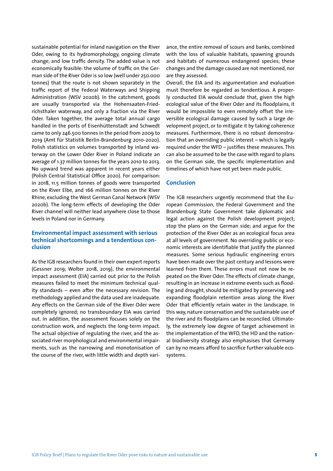sustainable potential for inland navigation on the River Oder, owing to its hydromorphology, ongoing climate change, and low traffic density. The added value is not economically feasible: the volume of traffic on the German side of the River Oder is so low (well under 250.000 tonnes) that the route is not shown separately in the traffic report of the Federal Waterways and Shipping Administration (WSV 2020b). In the catchment, goods are usually transported via the Hohensaaten-Friedrichsthaler waterway, and only a fraction via the River Oder. Taken together, the average total annual cargo handled in the ports of Eisenhüttenstadt and Schwedt came to only 246.500 tonnes in the period from 2009 to 2019 (Amt für Statistik Berlin-Brandenburg 2010-2020). Polish statistics on volumes transported by inland waterway on the Lower Oder River in Poland indicate an average of 1.37 million tonnes for the years 2010 to 2013. No upward trend was apparent in recent years either (Polish Central Statistical Office 2020). For comparison: in 2018, 11.5 million tonnes of goods were transported on the River Elbe, and 166 million tonnes on the River Rhine, excluding the West German Canal Network (WSV 2020b). The long-term effects of developing the Oder River channel will neither lead anywhere close to those levels in Poland nor in Germany.

#### **Environmental impact assessment with serious technical shortcomings and a tendentious conclusion**

As the IGB researchers found in their own expert reports (Gessner 2019; Wolter 2018, 2019), the environmental impact assessment (EIA) carried out prior to the Polish measures failed to meet the minimum technical quality standards – even after the necessary revision. The methodology applied and the data used are inadequate. Any effects on the German side of the River Oder were completely ignored; no transboundary EIA was carried out. In addition, the assessment focuses solely on the construction work, and neglects the long-term impact. The actual objective of regulating the river, and the associated river morphological and environmental impairments, such as the narrowing and monotonisation of the course of the river, with little width and depth vari-

ance, the entire removal of scours and banks, combined with the loss of valuable habitats, spawning grounds and habitats of numerous endangered species; these changes and the damage caused are not mentioned, nor are they assessed.

Overall, the EIA and its argumentation and evaluation must therefore be regarded as tendentious. A properly conducted EIA would conclude that, given the high ecological value of the River Oder and its floodplains, it would be impossible to even remotely offset the irreversible ecological damage caused by such a large development project, or to mitigate it by taking coherence measures. Furthermore, there is no robust demonstration that an overriding public interest – which is legally required under the WFD – justifies these measures. This can also be assumed to be the case with regard to plans on the German side, the specific implementation and timelines of which have not yet been made public.

#### **Conclusion**

The IGB researchers urgently recommend that the European Commission, the Federal Government and the Brandenburg State Government take diplomatic and legal action against the Polish development project; stop the plans on the German side; and argue for the protection of the River Oder as an ecological focus area at all levels of government. No overriding public or economic interests are identifiable that justify the planned measures. Some serious hydraulic engineering errors have been made over the past century and lessons were learned from them. These errors must not now be repeated on the River Oder. The effects of climate change, resulting in an increase in extreme events such as flooding and drought, should be mitigated by preserving and expanding floodplain retention areas along the River Oder that efficiently retain water in the landscape. In this way, nature conservation and the sustainable use of the river and its floodplains can be reconciled. Ultimately, the extremely low degree of target achievement in the implementation of the WFD, the HD and the national biodiversity strategy also emphasises that Germany can by no means afford to sacrifice further valuable ecosystems.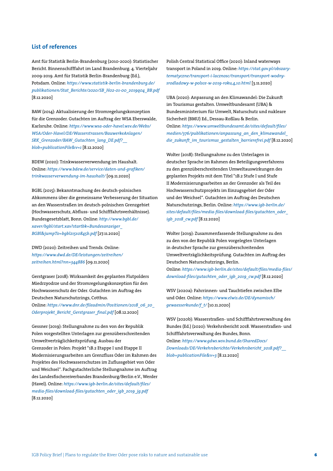#### **List of references**

Amt für Statistik Berlin-Brandenburg (2010-2020): Statistischer Bericht. Binnenschifffahrt im Land Brandenburg. 4. Vierteljahr 2009-2019. Amt für Statistik Berlin-Brandenburg (Ed.), Potsdam. Online: *[https://www.statistik-berlin-brandenburg.de/](https://www.statistik-berlin-brandenburg.de/publikationen/Stat_Berichte/2020/SB_H02-01-00_2019q04_BB.pdf) [publikationen/Stat\\_Berichte/2020/SB\\_H02-01-00\\_2019q04\\_BB.pdf](https://www.statistik-berlin-brandenburg.de/publikationen/Stat_Berichte/2020/SB_H02-01-00_2019q04_BB.pdf)* [8.12.2020]

BAW (2014): Aktualisierung der Stromregelungskonzeption für die Grenzoder. Gutachten im Auftrag der WSA Eberswalde, Karlsruhe. Online: *[https://www.wsa-oder-havel.wsv.de/Webs/](https://www.wsa-oder-havel.wsv.de/Webs/WSA/Oder-Havel/DE/Wasserstrassen/BauwerkeAnlagen/SRK_Grenzoder/BAW_Gutachten_lang_DE.pdf?__blob=publicationFile&v=1) [WSA/Oder-Havel/DE/Wasserstrassen/BauwerkeAnlagen/](https://www.wsa-oder-havel.wsv.de/Webs/WSA/Oder-Havel/DE/Wasserstrassen/BauwerkeAnlagen/SRK_Grenzoder/BAW_Gutachten_lang_DE.pdf?__blob=publicationFile&v=1) [SRK\\_Grenzoder/BAW\\_Gutachten\\_lang\\_DE.pdf?\\_\\_](https://www.wsa-oder-havel.wsv.de/Webs/WSA/Oder-Havel/DE/Wasserstrassen/BauwerkeAnlagen/SRK_Grenzoder/BAW_Gutachten_lang_DE.pdf?__blob=publicationFile&v=1) [blob=publicationFile&v=1](https://www.wsa-oder-havel.wsv.de/Webs/WSA/Oder-Havel/DE/Wasserstrassen/BauwerkeAnlagen/SRK_Grenzoder/BAW_Gutachten_lang_DE.pdf?__blob=publicationFile&v=1)* [8.12.2020]

BDEW (2020): Trinkwasserverwendung im Haushalt. Online: *[https://www.bdew.de/service/daten-und-grafiken/](https://www.bdew.de/service/daten-und-grafiken/trinkwasserverwendung-im-haushalt/) [trinkwasserverwendung-im-haushalt/](https://www.bdew.de/service/daten-und-grafiken/trinkwasserverwendung-im-haushalt/)* [09.11.2020]

BGBL (2015): Bekanntmachung des deutsch-polnischen Abkommens über die gemeinsame Verbesserung der Situation an den Wasserstraßen im deutsch-polnischen Grenzgebiet (Hochwasserschutz, Abfluss- und Schifffahrtsverhältnisse). Bundesgesetzblatt, Bonn. Online: *[http://www.bgbl.de/](http://www.bgbl.de/xaver/bgbl/start.xav?startbk=Bundesanzeiger_BGBl&jumpTo=bgbl215s0845b.pdf)  [xaver/bgbl/start.xav?startbk=Bundesanzeiger\\_](http://www.bgbl.de/xaver/bgbl/start.xav?startbk=Bundesanzeiger_BGBl&jumpTo=bgbl215s0845b.pdf) [BGBl&jumpTo=bgbl215s0845b.pdf](http://www.bgbl.de/xaver/bgbl/start.xav?startbk=Bundesanzeiger_BGBl&jumpTo=bgbl215s0845b.pdf)* [27.11.2020]

DWD (2020): Zeitreihen und Trends. Online: *[https://www.dwd.de/DE/leistungen/zeitreihen/](https://www.dwd.de/DE/leistungen/zeitreihen/zeitreihen.html?nn=344886) [zeitreihen.html?nn=344886](https://www.dwd.de/DE/leistungen/zeitreihen/zeitreihen.html?nn=344886)* [09.11.2020]

Gerstgraser (2018): Wirksamkeit des geplanten Flutpolders Miedrzyodrze und der Stromregelungskonzeption für den Hochwasserschutz der Oder. Gutachten im Auftrag des Deutschen Naturschutzrings, Cottbus. Online: *[https://www.dnr.de/fileadmin/Positionen/2018\\_06\\_20\\_](https://www.dnr.de/fileadmin/Positionen/2018_06_20_Oderprojekt_Bericht_Gerstgraser_final.pdf) [Oderprojekt\\_Bericht\\_Gerstgraser\\_final.pdf](https://www.dnr.de/fileadmin/Positionen/2018_06_20_Oderprojekt_Bericht_Gerstgraser_final.pdf)* [08.12.2020]

Gessner (2019): Stellungnahme zu den von der Republik Polen vorgestellten Unterlagen zur grenzüberschreitenden Umweltverträglichkeitsprüfung. Ausbau der Grenzoder in Polen: Projekt "1B.2 Etappe I und Etappe II Modernisierungsarbeiten am Grenzfluss Oder im Rahmen des Projektes des Hochwasserschutzes im Zuflussgebiet von Oder und Weichsel". Fachgutachterliche Stellungnahme im Auftrag des Landesfischereiverbandes Brandenburg/Berlin e.V., Werder (Havel). Online: *https:/[/www.igb-berlin.de/sites/default/files/](https://www.igb-berlin.de/sites/default/files/media-files/download-files/gutachten_oder_igb_2019_jg.pdf) [media-files/download-files/gutachten\\_oder\\_igb\\_2019\\_jg.pdf](https://www.igb-berlin.de/sites/default/files/media-files/download-files/gutachten_oder_igb_2019_jg.pdf)* [8.12.2020]

Polish Central Statistical Office (2020): Inland waterways transport in Poland in 2019. Online: *[https://stat.gov.pl/obszary](https://stat.gov.pl/obszary-tematyczne/transport-i-lacznosc/transport/transport-wodny-srodladowy-w-polsce-w-2019-roku,4,10.html)[tematyczne/transport-i-lacznosc/transport/transport-wodny](https://stat.gov.pl/obszary-tematyczne/transport-i-lacznosc/transport/transport-wodny-srodladowy-w-polsce-w-2019-roku,4,10.html)[srodladowy-w-polsce-w-2019-roku,4,10.html](https://stat.gov.pl/obszary-tematyczne/transport-i-lacznosc/transport/transport-wodny-srodladowy-w-polsce-w-2019-roku,4,10.html)* [3.11.2020]

UBA (2020): Anpassung an den Klimawandel: Die Zukunft im Tourismus gestalten. Umweltbundesamt (UBA) & Bundesministerium für Umwelt, Naturschutz und nukleare Sicherheit (BMU) Ed., Dessau-Roßlau & Berlin. Online: *[https://www.umweltbundesamt.de/sites/default/files/](https://www.umweltbundesamt.de/sites/default/files/medien/376/publikationen/anpassung_an_den_klimawandel_die_zukunft_im_tourismus_gestalten_barrierefrei.pdf) [medien/376/publikationen/anpassung\\_an\\_den\\_klimawandel\\_](https://www.umweltbundesamt.de/sites/default/files/medien/376/publikationen/anpassung_an_den_klimawandel_die_zukunft_im_tourismus_gestalten_barrierefrei.pdf) [die\\_zukunft\\_im\\_tourismus\\_gestalten\\_barrierefrei.pdf](https://www.umweltbundesamt.de/sites/default/files/medien/376/publikationen/anpassung_an_den_klimawandel_die_zukunft_im_tourismus_gestalten_barrierefrei.pdf)* [8.12.2020]

Wolter (2018): Stellungnahme zu den Unterlagen in deutscher Sprache im Rahmen des Beteiligungsverfahrens zu den grenzüberschreitenden Umweltauswirkungen des geplanten Projekts mit dem Titel "1B.2 Stufe I und Stufe II Modernisierungsarbeiten an der Grenzoder als Teil des Hochwasserschutzprojekts im Einzugsgebiet der Oder und der Weichsel". Gutachten im Auftrag des Deutschen Naturschutzrings, Berlin. Online: *https:/[/www.igb-berlin.de/](https://www.igb-berlin.de/sites/default/files/media-files/download-files/gutachten_oder_igb_2018_cw.pdf) [sites/default/files/media-files/download-files/gutachten\\_oder\\_](https://www.igb-berlin.de/sites/default/files/media-files/download-files/gutachten_oder_igb_2018_cw.pdf) [igb\\_2018\\_cw.pdf](https://www.igb-berlin.de/sites/default/files/media-files/download-files/gutachten_oder_igb_2018_cw.pdf)* [8.12.2020]

Wolter (2019): Zusammenfassende Stellungnahme zu den zu den von der Republik Polen vorgelegten Unterlagen in deutscher Sprache zur grenzüberschreitenden Umweltverträglichkeitsprüfung. Gutachten im Auftrag des Deutschen Naturschutzrings, Berlin. Online: *[https://www.igb-berlin.de/sites/default/files/media-files/](https://www.igb-berlin.de/sites/default/files/media-files/download-files/gutachten_oder_igb_2019_cw.pdf)*

*[download-files/gutachten\\_oder\\_igb\\_2019\\_cw.pdf](https://www.igb-berlin.de/sites/default/files/media-files/download-files/gutachten_oder_igb_2019_cw.pdf)* [8.12.2020]

WSV (2020a): Fahrrinnen- und Tauchtiefen zwischen Elbe und Oder. Online: *[https://www.elwis.de/DE/dynamisch/](https://www.elwis.de/DE/dynamisch/gewaesserkunde/f_t/) [gewaesserkunde/f\\_t/](https://www.elwis.de/DE/dynamisch/gewaesserkunde/f_t/)* [10.11.2020]

WSV (2020b): Wasserstraßen- und Schifffahrtsverwaltung des Bundes (Ed.) (2020): Verkehrsbericht 2018. Wasserstraßen- und Schifffahrtsverwaltung des Bundes, Bonn. Online: *[https://www.gdws.wsv.bund.de/SharedDocs/](https://www.gdws.wsv.bund.de/SharedDocs/Downloads/DE/Verkehrsberichte/Verkehrsbericht_2018.pdf?__blob=publicationFile&v=3) [Downloads/DE/Verkehrsberichte/Verkehrsbericht\\_2018.pdf?\\_\\_](https://www.gdws.wsv.bund.de/SharedDocs/Downloads/DE/Verkehrsberichte/Verkehrsbericht_2018.pdf?__blob=publicationFile&v=3) [blob=publicationFile&v=3](https://www.gdws.wsv.bund.de/SharedDocs/Downloads/DE/Verkehrsberichte/Verkehrsbericht_2018.pdf?__blob=publicationFile&v=3)* [8.12.2020]